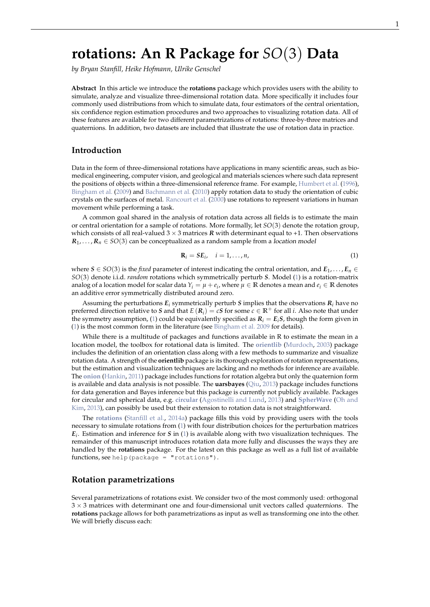# <span id="page-0-1"></span>**rotations: An R Package for** *SO*(3) **Data**

*by Bryan Stanfill, Heike Hofmann, Ulrike Genschel*

**Abstract** In this article we introduce the **rotations** package which provides users with the ability to simulate, analyze and visualize three-dimensional rotation data. More specifically it includes four commonly used distributions from which to simulate data, four estimators of the central orientation, six confidence region estimation procedures and two approaches to visualizing rotation data. All of these features are available for two different parametrizations of rotations: three-by-three matrices and quaternions. In addition, two datasets are included that illustrate the use of rotation data in practice.

## **Introduction**

Data in the form of three-dimensional rotations have applications in many scientific areas, such as biomedical engineering, computer vision, and geological and materials sciences where such data represent the positions of objects within a three-dimensional reference frame. For example, [Humbert et al.](#page-10-0) [\(1996\)](#page-10-0), [Bingham et al.](#page-9-0) [\(2009\)](#page-9-0) and [Bachmann et al.](#page-9-1) [\(2010\)](#page-9-1) apply rotation data to study the orientation of cubic crystals on the surfaces of metal. [Rancourt et al.](#page-10-1) [\(2000\)](#page-10-1) use rotations to represent variations in human movement while performing a task.

A common goal shared in the analysis of rotation data across all fields is to estimate the main or central orientation for a sample of rotations. More formally, let *SO*(3) denote the rotation group, which consists of all real-valued  $3 \times 3$  matrices *R* with determinant equal to +1. Then observations  $\mathcal{R}_1,\ldots,\mathcal{R}_n\in SO(3)$  can be conceptualized as a random sample from a *location model* 

<span id="page-0-0"></span>
$$
\mathbf{R}_i = S E_i, \quad i = 1, \dots, n,
$$
\n<sup>(1)</sup>

where  $S \in SO(3)$  is the *fixed* parameter of interest indicating the central orientation, and  $E_1, \ldots, E_n \in$ *SO*(3) denote i.i.d. *random* rotations which symmetrically perturb *S*. Model [\(1\)](#page-0-0) is a rotation-matrix analog of a location model for scalar data  $Y_i = \mu + e_i$ , where  $\mu \in \mathbb{R}$  denotes a mean and  $e_i \in \mathbb{R}$  denotes an additive error symmetrically distributed around zero.

Assuming the perturbations  $E_i$  symmetrically perturb *S* implies that the observations  $R_i$  have no preferred direction relative to *S* and that  $E(R_i) = cS$  for some  $c \in \mathbb{R}^+$  for all *i*. Also note that under the symmetry assumption, [\(1\)](#page-0-0) could be equivalently specified as  $R_i = E_i S$ , though the form given in [\(1\)](#page-0-0) is the most common form in the literature (see [Bingham et al.](#page-9-0) [2009](#page-9-0) for details).

While there is a multitude of packages and functions available in R to estimate the mean in a location model, the toolbox for rotational data is limited. The **[orientlib](http://CRAN.R-project.org/package=orientlib)** [\(Murdoch,](#page-10-2) [2003\)](#page-10-2) package includes the definition of an orientation class along with a few methods to summarize and visualize rotation data. A strength of the **orientlib** package is its thorough exploration of rotation representations, but the estimation and visualization techniques are lacking and no methods for inference are available. The **[onion](http://CRAN.R-project.org/package=onion)** [\(Hankin,](#page-10-3) [2011\)](#page-10-3) package includes functions for rotation algebra but only the quaternion form is available and data analysis is not possible. The **uarsbayes** [\(Qiu,](#page-10-4) [2013\)](#page-10-4) package includes functions for data generation and Bayes inference but this package is currently not publicly available. Packages for circular and spherical data, e.g. **[circular](http://CRAN.R-project.org/package=circular)** [\(Agostinelli and Lund,](#page-9-2) [2013\)](#page-9-2) and **[SpherWave](http://CRAN.R-project.org/package=SpherWave)** [\(Oh and](#page-10-5) [Kim,](#page-10-5) [2013\)](#page-10-5), can possibly be used but their extension to rotation data is not straightforward.

The **[rotations](http://CRAN.R-project.org/package=rotations)** [\(Stanfill et al.,](#page-10-6) [2014a\)](#page-10-6) package fills this void by providing users with the tools necessary to simulate rotations from [\(1\)](#page-0-0) with four distribution choices for the perturbation matrices *Ei* . Estimation and inference for *S* in [\(1\)](#page-0-0) is available along with two visualization techniques. The remainder of this manuscript introduces rotation data more fully and discusses the ways they are handled by the **rotations** package. For the latest on this package as well as a full list of available functions, see help(package = "rotations").

## **Rotation parametrizations**

Several parametrizations of rotations exist. We consider two of the most commonly used: orthogonal  $3 \times 3$  matrices with determinant one and four-dimensional unit vectors called *quaternions*. The **rotations** package allows for both parametrizations as input as well as transforming one into the other. We will briefly discuss each: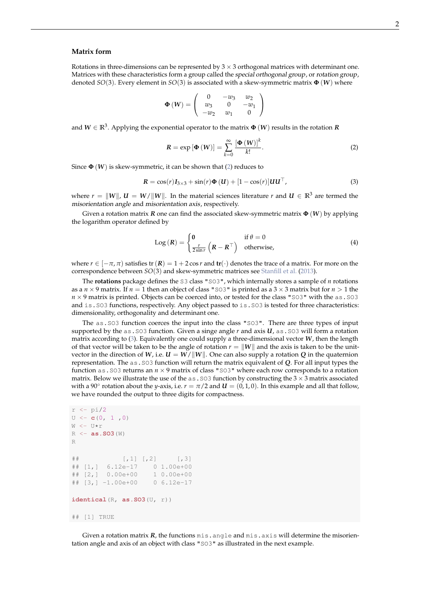#### <span id="page-1-3"></span>**Matrix form**

Rotations in three-dimensions can be represented by  $3 \times 3$  orthogonal matrices with determinant one. Matrices with these characteristics form a group called the special orthogonal group, or rotation group, denoted *SO*(3). Every element in *SO*(3) is associated with a skew-symmetric matrix **Φ** (*W*) where

$$
\Phi\left(W\right) = \left(\begin{array}{ccc} 0 & -w_3 & w_2 \\ w_3 & 0 & -w_1 \\ -w_2 & w_1 & 0 \end{array}\right)
$$

and  $W \in \mathbb{R}^3$ . Applying the exponential operator to the matrix  $\Phi\left(W\right)$  results in the rotation  $R$ 

<span id="page-1-1"></span><span id="page-1-0"></span>
$$
R = \exp\left[\Phi\left(W\right)\right] = \sum_{k=0}^{\infty} \frac{\left[\Phi\left(W\right)\right]^k}{k!}.
$$
 (2)

Since  $\Phi(W)$  is skew-symmetric, it can be shown that [\(2\)](#page-1-0) reduces to

$$
\mathbf{R} = \cos(r)\mathbf{I}_{3\times 3} + \sin(r)\mathbf{\Phi}\left(\mathbf{U}\right) + \left[1 - \cos(r)\right]\mathbf{U}\mathbf{U}^\top,\tag{3}
$$

where  $r = ||W||$ ,  $U = W/||W||$ . In the material sciences literature *r* and  $U \in \mathbb{R}^3$  are termed the misorientation angle and misorientation axis, respectively.

Given a rotation matrix *R* one can find the associated skew-symmetric matrix **Φ** (*W*) by applying the logarithm operator defined by

<span id="page-1-2"></span>
$$
Log (R) = \begin{cases} 0 & \text{if } \theta = 0\\ \frac{r}{2\sin r} \left( R - R^{\top} \right) & \text{otherwise,} \end{cases}
$$
(4)

where  $r \in [-\pi, \pi]$  satisfies  $tr(R) = 1 + 2 \cos r$  and  $tr(\cdot)$  denotes the trace of a matrix. For more on the correspondence between *SO*(3) and skew-symmetric matrices see [Stanfill et al.](#page-10-7) [\(2013\)](#page-10-7).

The **rotations** package defines the S3 class "SO3", which internally stores a sample of *n* rotations as a  $n \times 9$  matrix. If  $n = 1$  then an object of class "SO3" is printed as a  $3 \times 3$  matrix but for  $n > 1$  the  $n \times 9$  matrix is printed. Objects can be coerced into, or tested for the class "SO3" with the as . SO3 and is.SO3 functions, respectively. Any object passed to is.SO3 is tested for three characteristics: dimensionality, orthogonality and determinant one.

The as. SO3 function coerces the input into the class "SO3". There are three types of input supported by the as  $.$  SO3 function. Given a singe angle  $r$  and axis  $U$ , as  $.$  SO3 will form a rotation matrix according to [\(3\)](#page-1-1). Equivalently one could supply a three-dimensional vector *W*, then the length of that vector will be taken to be the angle of rotation  $r = ||W||$  and the axis is taken to be the unitvector in the direction of *W*, i.e.  $U = W/||W||$ . One can also supply a rotation *Q* in the quaternion representation. The as.SO3 function will return the matrix equivalent of *Q*. For all input types the function as.SO3 returns an *n* × 9 matrix of class "SO3" where each row corresponds to a rotation matrix. Below we illustrate the use of the as . SO3 function by constructing the  $3 \times 3$  matrix associated with a 90° rotation about the *y*-axis, i.e.  $r = \pi/2$  and  $\bm{U} = (0, 1, 0)$ . In this example and all that follow, we have rounded the output to three digits for compactness.

```
r \leftarrow \pi/2U \leftarrow c(0, 1, 0)W < - U*r
R <- as.SO3(W)
R
\# [, 1] [, 2] [, 3]
## [1,] 6.12e-17 0 1.00e+00
## [2,] 0.00e+00 1 0.00e+00
## [3,] -1.00e+00 0 6.12e-17
identical(R, as.SO3(U, r))
## [1] TRUE
```
Given a rotation matrix **R**, the functions mis.angle and mis.axis will determine the misorientation angle and axis of an object with class "SO3" as illustrated in the next example.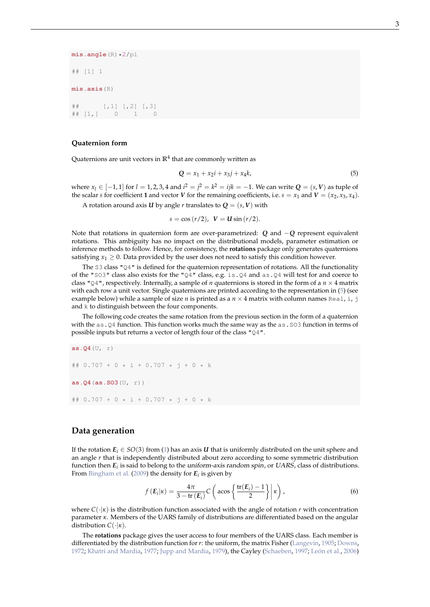<span id="page-2-2"></span>**mis.angle**(R)\*2/pi ## [1] 1 **mis.axis**(R) ## [,1] [,2] [,3] ## [1,] 0 1 0

#### **Quaternion form**

Quaternions are unit vectors in  $\mathbb{R}^4$  that are commonly written as

<span id="page-2-0"></span>
$$
Q = x_1 + x_2 i + x_3 j + x_4 k, \tag{5}
$$

where  $x_l$  ∈ [−1, 1] for *l* = 1, 2, 3, 4 and  $i^2 = j^2 = k^2 = ijk = −1$ . We can write  $Q = (s, V)$  as tuple of the scalar *s* for coefficient **1** and vector *V* for the remaining coefficients, i.e.  $s = x_1$  and  $V = (x_2, x_3, x_4)$ .

A rotation around axis *U* by angle *r* translates to  $Q = (s, V)$  with

 $s = \cos{(r/2)}$ ,  $V = U \sin{(r/2)}$ .

Note that rotations in quaternion form are over-parametrized: *Q* and −*Q* represent equivalent rotations. This ambiguity has no impact on the distributional models, parameter estimation or inference methods to follow. Hence, for consistency, the **rotations** package only generates quaternions satisfying  $x_1 > 0$ . Data provided by the user does not need to satisfy this condition however.

The S3 class "Q4" is defined for the quaternion representation of rotations. All the functionality of the "SO3" class also exists for the "Q4" class, e.g. i.s. Q4 and as. Q4 will test for and coerce to class " $Q4$ ", respectively. Internally, a sample of *n* quaternions is stored in the form of a  $n \times 4$  matrix with each row a unit vector. Single quaternions are printed according to the representation in [\(5\)](#page-2-0) (see example below) while a sample of size *n* is printed as a  $n \times 4$  matrix with column names Real, i, j and k to distinguish between the four components.

The following code creates the same rotation from the previous section in the form of a quaternion with the as. Q4 function. This function works much the same way as the as. SO3 function in terms of possible inputs but returns a vector of length four of the class "Q4".

**as.Q4**(U, r) ## 0.707 + 0 \* i + 0.707 \* j + 0 \* k **as.Q4**(**as.SO3**(U, r)) ## 0.707 + 0 \* i + 0.707 \* j + 0 \* k

## **Data generation**

If the rotation  $E_i \in SO(3)$  from [\(1\)](#page-0-0) has an axis *U* that is uniformly distributed on the unit sphere and an angle *r* that is independently distributed about zero according to some symmetric distribution function then *E<sup>i</sup>* is said to belong to the uniform-axis random spin, or UARS, class of distributions. From [Bingham et al.](#page-9-0) [\(2009\)](#page-9-0) the density for *E<sup>i</sup>* is given by

<span id="page-2-1"></span>
$$
f(E_i|\kappa) = \frac{4\pi}{3 - \text{tr}(E_i)} C\left(\arccos\left\{\frac{\text{tr}(E_i) - 1}{2}\right\} \middle| \kappa\right),\tag{6}
$$

where  $C(\cdot|\kappa)$  is the distribution function associated with the angle of rotation *r* with concentration parameter *κ*. Members of the UARS family of distributions are differentiated based on the angular distribution *C*(·|*κ*).

The **rotations** package gives the user access to four members of the UARS class. Each member is differentiated by the distribution function for *r*: the uniform, the matrix Fisher [\(Langevin,](#page-10-8) [1905;](#page-10-8) [Downs,](#page-9-3) [1972;](#page-9-3) [Khatri and Mardia,](#page-10-9) [1977;](#page-10-9) [Jupp and Mardia,](#page-10-10) [1979\)](#page-10-10), the Cayley [\(Schaeben,](#page-10-11) [1997;](#page-10-11) [León et al.,](#page-10-12) [2006\)](#page-10-12)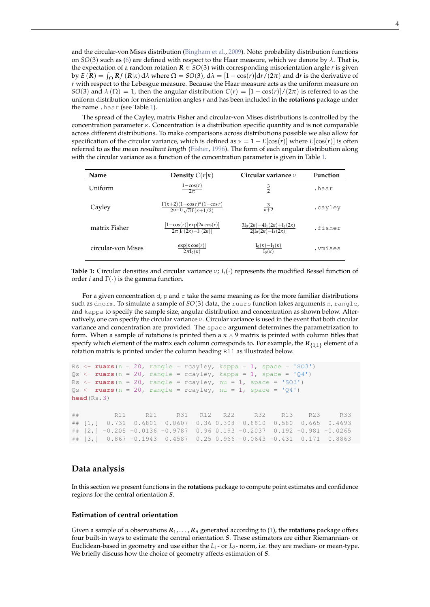<span id="page-3-1"></span>and the circular-von Mises distribution [\(Bingham et al.,](#page-9-0) [2009\)](#page-9-0). Note: probability distribution functions on *SO*(3) such as [\(6\)](#page-2-1) are defined with respect to the Haar measure, which we denote by *λ*. That is, the expectation of a random rotation  $R \in SO(3)$  with corresponding misorientation angle *r* is given by  $E(R) = \int_{\Omega} Rf(R|x) d\lambda$  where  $\Omega = SO(3)$ ,  $d\lambda = [1 - \cos(r)]dr/(2\pi)$  and d*r* is the derivative of *r* with respect to the Lebesgue measure. Because the Haar measure acts as the uniform measure on *SO*(3) and  $\lambda(\Omega) = 1$ , then the angular distribution  $C(r) = [1 - \cos(r)]/(2\pi)$  is referred to as the uniform distribution for misorientation angles *r* and has been included in the **rotations** package under the name .haar (see Table [1\)](#page-3-0).

The spread of the Cayley, matrix Fisher and circular-von Mises distributions is controlled by the concentration parameter *κ*. Concentration is a distribution specific quantity and is not comparable across different distributions. To make comparisons across distributions possible we also allow for specification of the circular variance, which is defined as  $\nu = 1 - E[\cos(r)]$  where  $E[\cos(r)]$  is often referred to as the mean resultant length [\(Fisher,](#page-9-4) [1996\)](#page-9-4). The form of each angular distribution along with the circular variance as a function of the concentration parameter is given in Table [1.](#page-3-0)

<span id="page-3-0"></span>

| Name               | Density $C(r \kappa)$                                                                              | Circular variance $\nu$                                                         | <b>Function</b> |
|--------------------|----------------------------------------------------------------------------------------------------|---------------------------------------------------------------------------------|-----------------|
| Uniform            | $\frac{1-\cos(r)}{2\pi}$                                                                           | $\frac{3}{2}$                                                                   | .haar           |
| Cayley             | $\frac{\Gamma(\kappa+2)(1+\cos r)^{\kappa}(1-\cos r)}{2^{(\kappa+1)}\sqrt{\pi}\Gamma(\kappa+1/2)}$ | $\frac{3}{\kappa+2}$                                                            | .cayley         |
| matrix Fisher      | $\frac{\left[1-\cos(r)\right]\exp[2\kappa\cos(r)]}{2\pi\left[I_0(2\kappa)-I_1(2\kappa)\right]}$    | $\frac{3I_0(2\kappa)-4I_1(2\kappa)+I_2(2\kappa)}{2[I_0(2\kappa)-I_1(2\kappa)]}$ | .fisher         |
| circular-von Mises | $\exp[\kappa \cos(r)]$<br>$2\pi I_0(\kappa)$                                                       | $\frac{I_0(\kappa)-I_1(\kappa)}{I_0(\kappa)}$                                   | .vmises         |

**Table 1:** Circular densities and circular variance  $v$ ;  $I_i(\cdot)$  represents the modified Bessel function of order *i* and  $\Gamma(\cdot)$  is the gamma function.

For a given concentration  $d$ , p and r take the same meaning as for the more familiar distributions such as dnorm. To simulate a sample of *SO*(3) data, the ruars function takes arguments n, rangle, and kappa to specify the sample size, angular distribution and concentration as shown below. Alternatively, one can specify the circular variance *ν*. Circular variance is used in the event that both circular variance and concentration are provided. The space argument determines the parametrization to form. When a sample of rotations is printed then a  $n \times 9$  matrix is printed with column titles that specify which element of the matrix each column corresponds to. For example, the  $R_{\{1,1\}}$  element of a rotation matrix is printed under the column heading R11 as illustrated below.

```
Rs \le ruars (n = 20, rangle = rcayley, kappa = 1, space = 'SO3')
Qs \leq ruars (n = 20, rangle = rcayley, kappa = 1, space = 'Q4')
Rs \leftarrow ruars (n = 20, rangle = rcayley, nu = 1, space = 'SO3')
Qs \leftarrow ruars (n = 20, rangle = rcayley, nu = 1, space = 'Q4')
head(Rs,3)
## R11 R21 R31 R12 R22 R32 R13 R23 R33
## [1,] 0.731 0.6801 -0.0607 -0.36 0.308 -0.8810 -0.580 0.665 0.4693
## [2,] -0.205 -0.0136 -0.9787 0.96 0.193 -0.2037 0.192 -0.981 -0.0265
## [3,] 0.867 -0.1943 0.4587 0.25 0.966 -0.0643 -0.431 0.171 0.8863
```
# **Data analysis**

In this section we present functions in the **rotations** package to compute point estimates and confidence regions for the central orientation *S*.

#### **Estimation of central orientation**

Given a sample of *n* observations  $R_1, \ldots, R_n$  generated according to [\(1\)](#page-0-0), the **rotations** package offers four built-in ways to estimate the central orientation *S*. These estimators are either Riemannian- or Euclidean-based in geometry and use either the *L*<sup>1</sup> - or *L*2- norm, i.e. they are median- or mean-type. We briefly discuss how the choice of geometry affects estimation of *S*.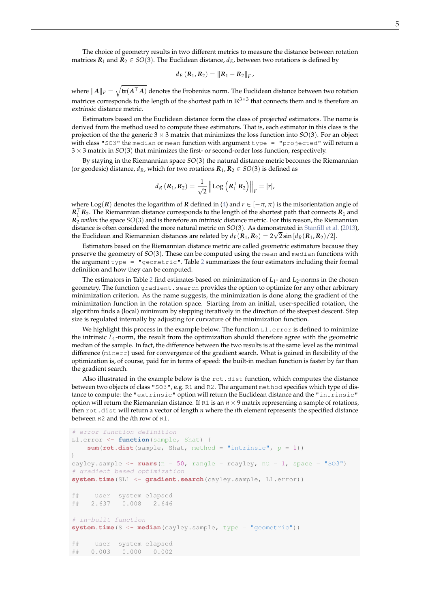<span id="page-4-0"></span>The choice of geometry results in two different metrics to measure the distance between rotation matrices  $R_1$  and  $\overline{R_2} \in SO(3)$ . The Euclidean distance,  $d_E$ , between two rotations is defined by

$$
d_E (R_1, R_2) = ||R_1 - R_2||_F,
$$

where  $\|A\|_F = \sqrt{\text{tr}(A^\top A)}$  denotes the Frobenius norm. The Euclidean distance between two rotation matrices corresponds to the length of the shortest path in **R**3×<sup>3</sup> that connects them and is therefore an extrinsic distance metric.

Estimators based on the Euclidean distance form the class of *projected* estimators. The name is derived from the method used to compute these estimators. That is, each estimator in this class is the projection of the the generic  $3 \times 3$  matrix that minimizes the loss function into  $SO(3)$ . For an object with class "SO3" the median or mean function with argument type  $=$  "projected" will return a 3 × 3 matrix in *SO*(3) that minimizes the first- or second-order loss function, respectively.

By staying in the Riemannian space *SO*(3) the natural distance metric becomes the Riemannian (or geodesic) distance,  $d_R$ , which for two rotations  $R_1, R_2 \in SO(3)$  is defined as

$$
d_{R}(\mathbf{R}_{1}, \mathbf{R}_{2}) = \frac{1}{\sqrt{2}} \left\| \mathrm{Log}\left(\mathbf{R}_{1}^{\top} \mathbf{R}_{2}\right) \right\|_{F} = |r|,
$$

where Log(*R*) denotes the logarithm of *R* defined in [\(4\)](#page-1-2) and  $r \in [-\pi, \pi)$  is the misorientation angle of  $R_1$ <sup>T</sup> $R_2$ . The Riemannian distance corresponds to the length of the shortest path that connects  $R_1$  and *R*<sup>2</sup> *within* the space *SO*(3) and is therefore an intrinsic distance metric. For this reason, the Riemannian distance is often considered the more natural metric on *SO*(3). As demonstrated in [Stanfill et al.](#page-10-7) [\(2013\)](#page-10-7), the Euclidean and Riemannian distances are related by  $d_E(R_1,R_2) = 2\sqrt{2}\sin{[d_R(R_1,R_2)/2]}.$ 

Estimators based on the Riemannian distance metric are called geometric estimators because they preserve the geometry of *SO*(3). These can be computed using the mean and median functions with the argument type =  $"geometric"$ . Table [2](#page-5-0) summarizes the four estimators including their formal definition and how they can be computed.

The estimators in Table [2](#page-5-0) find estimates based on minimization of  $L_1$ - and  $L_2$ -norms in the chosen geometry. The function gradient.search provides the option to optimize for any other arbitrary minimization criterion. As the name suggests, the minimization is done along the gradient of the minimization function in the rotation space. Starting from an initial, user-specified rotation, the algorithm finds a (local) minimum by stepping iteratively in the direction of the steepest descent. Step size is regulated internally by adjusting for curvature of the minimization function.

We highlight this process in the example below. The function  $LI$  .  $error$  is defined to minimize the intrinsic *L*<sup>1</sup> -norm, the result from the optimization should therefore agree with the geometric median of the sample. In fact, the difference between the two results is at the same level as the minimal difference (minerr) used for convergence of the gradient search. What is gained in flexibility of the optimization is, of course, paid for in terms of speed: the built-in median function is faster by far than the gradient search.

Also illustrated in the example below is the rot.dist function, which computes the distance between two objects of class "SO3", e.g. R1 and R2. The argument method specifies which type of distance to compute: the "extrinsic" option will return the Euclidean distance and the "intrinsic" option will return the Riemannian distance. If  $R1$  is an  $n \times 9$  matrix representing a sample of rotations, then rot.dist will return a vector of length *n* where the *i*th element represents the specified distance between R2 and the *i*th row of R1.

```
# error function definition
L1.error <- function(sample, Shat) {
    sum(rot.dist(sample, Shat, method = "intrinsic", p = 1))
}
cayley.sample \leq ruars (n = 50, rangle = rcayley, nu = 1, space = "SO3")
# gradient based optimization
system.time(SL1 <- gradient.search(cayley.sample, L1.error))
## user system elapsed
## 2.637 0.008 2.646
# in-built function
system.time(S <- median(cayley.sample, type = "geometric"))
## user system elapsed
## 0.003 0.000 0.002
```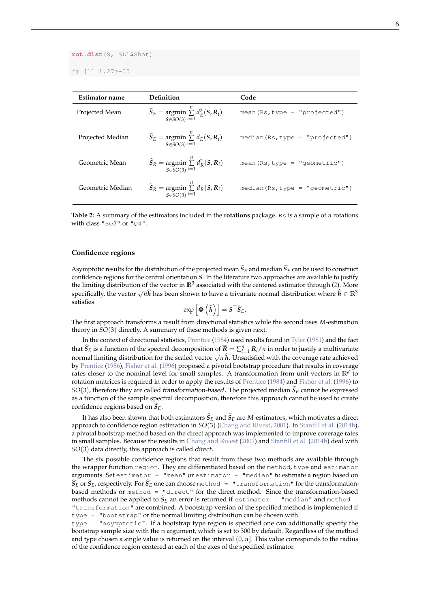<span id="page-5-1"></span>**rot.dist**(S, SL1\$Shat)

## [1] 1.27e-05

<span id="page-5-0"></span>

| Definition                                                                                               | Code                              |
|----------------------------------------------------------------------------------------------------------|-----------------------------------|
| $\widehat{S}_E$ = argmin $\sum_{i=1}^{n} d_F^2(S, R_i)$<br>$S\in SO(3)$ $i=1$                            | mean $(Rs, type = "projected")$   |
| $\widetilde{S}_E$ = argmin $\sum d_E(S, R_i)$<br>$S\in SO(3)$ $i=1$                                      | $median(Rs, type = "projected")$  |
| $\widehat{S}_R$ = argmin $\sum_{i=1}^{n} d_R^2(S, R_i)$<br>$S\in SO(3)$ $i=1$                            | mean $(Rs, type = "geometric")$   |
| $\widetilde{S}_R$ = argmin $\widetilde{\Sigma}$ d <sub>R</sub> (S, R <sub>i</sub> )<br>$S \in SO(3) i=1$ | median $(Rs, type = "geometric")$ |
|                                                                                                          |                                   |

**Table 2:** A summary of the estimators included in the **rotations** package. Rs is a sample of *n* rotations with class "SO3" or "Q4".

#### **Confidence regions**

Asymptotic results for the distribution of the projected mean  $S_E$  and median  $S_E$  can be used to construct confidence regions for the central orientation *S*. In the literature two approaches are available to justify the limiting distribution of the vector in  $\mathbb{R}^3$  associated with the centered estimator through [\(2\)](#page-1-0). More specifically, the vector  $\sqrt{n}\hat{h}$  has been shown to have a trivariate normal distribution where  $\hat{h} \in \mathbb{R}^3$ satisfies

$$
\exp\left[\boldsymbol{\Phi}\left(\widehat{\boldsymbol{h}}\right)\right] = \boldsymbol{S}^\top \widehat{\boldsymbol{S}}_{E}.
$$

The first approach transforms a result from directional statistics while the second uses *M*-estimation theory in *SO*(3) directly. A summary of these methods is given next.

In the context of directional statistics, [Prentice](#page-10-13) [\(1984\)](#page-10-13) used results found in [Tyler](#page-10-14) [\(1981\)](#page-10-14) and the fact that  $\widehat{S}_E$  is a function of the spectral decomposition of  $\overline{R} = \sum_{i=1}^n R_i/n$  in order to justify a multivariate normal limiting distribution for the scaled vector  $\sqrt{n} \hat{h}$ . Unsatisfied with the coverage rate achieved by [Prentice](#page-10-15) [\(1986\)](#page-10-15), [Fisher et al.](#page-9-5) [\(1996\)](#page-9-5) proposed a pivotal bootstrap procedure that results in coverage rates closer to the nominal level for small samples. A transformation from unit vectors in **R***<sup>d</sup>* to rotation matrices is required in order to apply the results of [Prentice](#page-10-13) [\(1984\)](#page-10-13) and [Fisher et al.](#page-9-5) [\(1996\)](#page-9-5) to  $SO(3)$ , therefore they are called *transformation-based*. The projected median  $\hat{S}_E$  cannot be expressed as a function of the sample spectral decomposition, therefore this approach cannot be used to create confidence regions based on  $S_E$ .

It has also been shown that both estimators  $S_E$  and  $S_E$  are *M*-estimators, which motivates a direct approach to confidence region estimation in *SO*(3) [\(Chang and Rivest,](#page-9-6) [2001\)](#page-9-6). In [Stanfill et al.](#page-10-16) [\(2014b\)](#page-10-16), a pivotal bootstrap method based on the direct approach was implemented to improve coverage rates in small samples. Because the results in [Chang and Rivest](#page-9-6) [\(2001\)](#page-9-6) and [Stanfill et al.](#page-10-16) [\(2014b\)](#page-10-16) deal with *SO*(3) data directly, this approach is called direct.

The six possible confidence regions that result from these two methods are available through the wrapper function region. They are differentiated based on the method, type and estimator arguments. Set estimator = "mean" or estimator = "median" to estimate a region based on  $S_E$  or  $S_E$ , respectively. For  $S_E$  one can choose method = "transformation" for the transformationbased methods or method = "direct" for the direct method. Since the transformation-based methods cannot be applied to  $S_E$  an error is returned if  $\epsilon$ stimator = "median" and method = "transformation" are combined. A bootstrap version of the specified method is implemented if type = "bootstrap" or the normal limiting distribution can be chosen with

type = "asymptotic". If a bootstrap type region is specified one can additionally specify the bootstrap sample size with the m argument, which is set to 300 by default. Regardless of the method and type chosen a single value is returned on the interval  $(0, \pi]$ . This value corresponds to the radius of the confidence region centered at each of the axes of the specified estimator.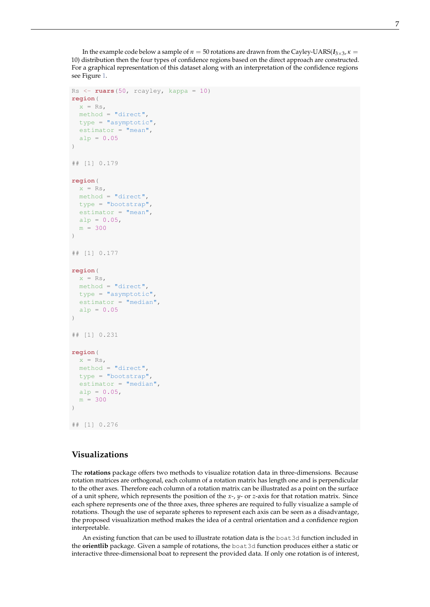In the example code below a sample of  $n = 50$  rotations are drawn from the Cayley-UARS( $I_{3\times 3}$ ,  $\kappa =$ 10) distribution then the four types of confidence regions based on the direct approach are constructed. For a graphical representation of this dataset along with an interpretation of the confidence regions see Figure [1.](#page-7-0)

```
Rs <- ruars(50, rcayley, kappa = 10)
region(
 x = Rs,
 method = "direct",
 type = "asymptotic",
 estimator = "mean",alp = 0.05)
## [1] 0.179
region(
 x = Rs,
 method = "direct",
 type = "bootstrap",
 estimator = "mean",alp = 0.05,
  m = 300\lambda## [1] 0.177
region(
 x = Rs,method = "direct",type = "asymptotic",
 estimator = "median",
 a1p = 0.05)
## [1] 0.231
region(
 x = Rs,
 method = "direct",
 type = "bootstrap",
  estimator = "median",alp = 0.05,
 m = 300)
## [1] 0.276
```
# **Visualizations**

The **rotations** package offers two methods to visualize rotation data in three-dimensions. Because rotation matrices are orthogonal, each column of a rotation matrix has length one and is perpendicular to the other axes. Therefore each column of a rotation matrix can be illustrated as a point on the surface of a unit sphere, which represents the position of the *x*-, *y*- or *z*-axis for that rotation matrix. Since each sphere represents one of the three axes, three spheres are required to fully visualize a sample of rotations. Though the use of separate spheres to represent each axis can be seen as a disadvantage, the proposed visualization method makes the idea of a central orientation and a confidence region interpretable.

An existing function that can be used to illustrate rotation data is the boat3d function included in the **orientlib** package. Given a sample of rotations, the boat3d function produces either a static or interactive three-dimensional boat to represent the provided data. If only one rotation is of interest,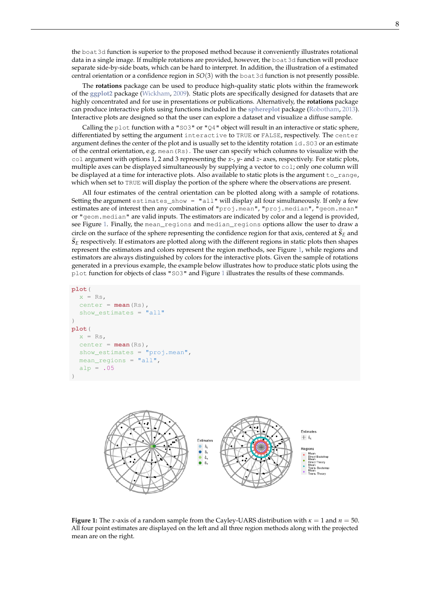<span id="page-7-1"></span>the boat3d function is superior to the proposed method because it conveniently illustrates rotational data in a single image. If multiple rotations are provided, however, the boat3d function will produce separate side-by-side boats, which can be hard to interpret. In addition, the illustration of a estimated central orientation or a confidence region in *SO*(3) with the boat3d function is not presently possible.

The **rotations** package can be used to produce high-quality static plots within the framework of the **[ggplot2](http://CRAN.R-project.org/package=ggplot2)** package [\(Wickham,](#page-10-17) [2009\)](#page-10-17). Static plots are specifically designed for datasets that are highly concentrated and for use in presentations or publications. Alternatively, the **rotations** package can produce interactive plots using functions included in the **[sphereplot](http://CRAN.R-project.org/package=sphereplot)** package [\(Robotham,](#page-10-18) [2013\)](#page-10-18). Interactive plots are designed so that the user can explore a dataset and visualize a diffuse sample.

Calling the plot function with a "SO3" or "O4" object will result in an interactive or static sphere, differentiated by setting the argument interactive to TRUE or FALSE, respectively. The center argument defines the center of the plot and is usually set to the identity rotation id. SO3 or an estimate of the central orientation, e.g. mean(Rs). The user can specify which columns to visualize with the col argument with options 1, 2 and 3 representing the *x*-, *y*- and *z*- axes, respectively. For static plots, multiple axes can be displayed simultaneously by supplying a vector to  $\text{col}$ ; only one column will be displayed at a time for interactive plots. Also available to static plots is the argument to\_range, which when set to TRUE will display the portion of the sphere where the observations are present.

All four estimates of the central orientation can be plotted along with a sample of rotations. Setting the argument estimates\_show = "all" will display all four simultaneously. If only a few estimates are of interest then any combination of "proj.mean", "proj.median", "geom.mean" or "geom.median" are valid inputs. The estimators are indicated by color and a legend is provided, see Figure [1.](#page-7-0) Finally, the mean\_regions and median\_regions options allow the user to draw a circle on the surface of the sphere representing the confidence region for that axis, centered at  $S_E$  and  $S_E$  respectively. If estimators are plotted along with the different regions in static plots then shapes represent the estimators and colors represent the region methods, see Figure [1,](#page-7-0) while regions and estimators are always distinguished by colors for the interactive plots. Given the sample of rotations generated in a previous example, the example below illustrates how to produce static plots using the plot function for objects of class "SO3" and Figure [1](#page-7-0) illustrates the results of these commands.

```
plot(
 x = Rs,
```

```
center = <b>mean</b>(Rs),show estimates = "all")
plot(
  x = Rs,
  center = <b>mean</b>(Rs),show_estimates = "proj.mean",
  mean regions = "all",alp = .05)
```
<span id="page-7-0"></span>

**Figure 1:** The *x*-axis of a random sample from the Cayley-UARS distribution with  $\kappa = 1$  and  $n = 50$ . All four point estimates are displayed on the left and all three region methods along with the projected mean are on the right.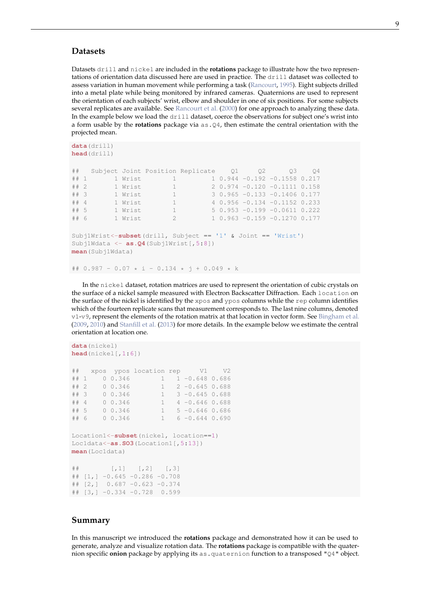## <span id="page-8-0"></span>**Datasets**

Datasets drill and nickel are included in the **rotations** package to illustrate how the two representations of orientation data discussed here are used in practice. The drill dataset was collected to assess variation in human movement while performing a task [\(Rancourt,](#page-10-19) [1995\)](#page-10-19). Eight subjects drilled into a metal plate while being monitored by infrared cameras. Quaternions are used to represent the orientation of each subjects' wrist, elbow and shoulder in one of six positions. For some subjects several replicates are available. See [Rancourt et al.](#page-10-1) [\(2000\)](#page-10-1) for one approach to analyzing these data. In the example below we load the drill dataset, coerce the observations for subject one's wrist into a form usable by the **rotations** package via as.Q4, then estimate the central orientation with the projected mean.

```
data(drill)
head(drill)
## Subject Joint Position Replicate Q1 Q2 Q3 Q4
## 1 1 Wrist 1 1 0.944 -0.192 -0.1558 0.217<br>## 2 1 Wrist 1 2 0.974 -0.120 -0.1111 0.158
## 2 1 Wrist 1 2 0.974 -0.120 -0.1111 0.158
## 3 1 Wrist 1 3 0.965 -0.133 -0.1406 0.177
## 4 1 Wrist 1 4 0.956 -0.134 -0.1152 0.233
## 5 1 Wrist 1 5 0.953 -0.199 -0.0611 0.222
## 6 1 Wrist 2 1 0.963 -0.159 -0.1270 0.177
Subj1Wrist<-subset(drill, Subject == '1' & Joint == 'Wrist')
Subj1Wdata <- as.Q4(Subj1Wrist[,5:8])
mean(Subj1Wdata)
```
## 0.987 - 0.07 \* i - 0.134 \* j + 0.049 \* k

In the nickel dataset, rotation matrices are used to represent the orientation of cubic crystals on the surface of a nickel sample measured with Electron Backscatter Diffraction. Each location on the surface of the nickel is identified by the xpos and ypos columns while the rep column identifies which of the fourteen replicate scans that measurement corresponds to. The last nine columns, denoted v1-v9, represent the elements of the rotation matrix at that location in vector form. See [Bingham et al.](#page-9-0) [\(2009,](#page-9-0) [2010\)](#page-9-7) and [Stanfill et al.](#page-10-7) [\(2013\)](#page-10-7) for more details. In the example below we estimate the central orientation at location one.

```
data(nickel)
head(nickel[,1:6])
## xpos ypos location rep V1 V2
## 1 0 0.346 1 1 -0.648 0.686
## 2 0 0.346 1 2 -0.645 0.688
## 3 0 0.346 1 3 -0.645 0.688
## 4 0 0.346 1 4 -0.646 0.688
## 5 0 0.346 1 5 -0.646 0.686
## 6 0 0.346 1 6 -0.644 0.690
Location1<-subset(nickel, location==1)
Loc1data<-as.SO3(Location1[,5:13])
mean(Loc1data)
## [,1] [,2] [,3]
## [1,] -0.645 -0.286 -0.708## [2,] 0.687 -0.623 -0.374
## [3, ]-0.334 -0.728 0.599
```
## **Summary**

In this manuscript we introduced the **rotations** package and demonstrated how it can be used to generate, analyze and visualize rotation data. The **rotations** package is compatible with the quaternion specific **onion** package by applying its as . quaternion function to a transposed "Q4" object.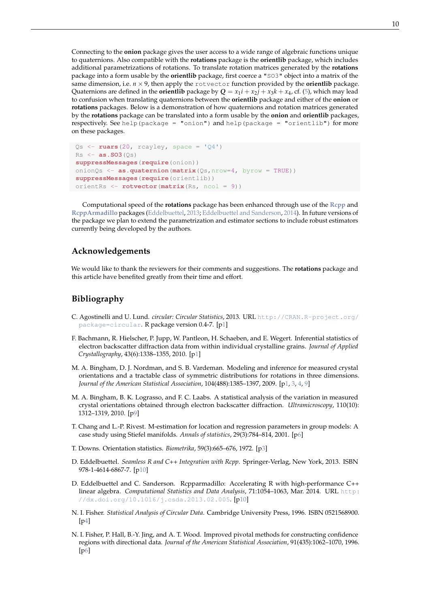<span id="page-9-10"></span>Connecting to the **onion** package gives the user access to a wide range of algebraic functions unique to quaternions. Also compatible with the **rotations** package is the **orientlib** package, which includes additional parametrizations of rotations. To translate rotation matrices generated by the **rotations** package into a form usable by the **orientlib** package, first coerce a "SO3" object into a matrix of the same dimension, i.e.  $n \times 9$ , then apply the rotvector function provided by the **orientlib** package. Quaternions are defined in the **orientlib** package by  $Q = x_1 i + x_2 j + x_3 k + x_4$ , cf. [\(5\)](#page-2-0), which may lead to confusion when translating quaternions between the **orientlib** package and either of the **onion** or **rotations** packages. Below is a demonstration of how quaternions and rotation matrices generated by the **rotations** package can be translated into a form usable by the **onion** and **orientlib** packages, respectively. See help(package = "onion") and help(package = "orientlib") for more on these packages.

```
Qs \leftarrow ruars(20, reayley, space = 'Q4')
Rs <- as.SO3(Qs)
suppressMessages(require(onion))
onionQs <- as.quaternion(matrix(Qs,nrow=4, byrow = TRUE))
suppressMessages(require(orientlib))
orientRs <- rotvector(matrix(Rs, ncol = 9))
```
Computational speed of the **rotations** package has been enhanced through use of the **[Rcpp](http://CRAN.R-project.org/package=Rcpp)** and **[RcppArmadillo](http://CRAN.R-project.org/package=RcppArmadillo)** packages [\(Eddelbuettel,](#page-9-8) [2013;](#page-9-8) [Eddelbuettel and Sanderson,](#page-9-9) [2014\)](#page-9-9). In future versions of the package we plan to extend the parametrization and estimator sections to include robust estimators currently being developed by the authors.

# **Acknowledgements**

We would like to thank the reviewers for their comments and suggestions. The **rotations** package and this article have benefited greatly from their time and effort.

# **Bibliography**

- <span id="page-9-2"></span>C. Agostinelli and U. Lund. *circular: Circular Statistics*, 2013. URL [http://CRAN.R-project.org/](http://CRAN.R-project.org/package=circular) [package=circular](http://CRAN.R-project.org/package=circular). R package version 0.4-7. [[p1\]](#page-0-1)
- <span id="page-9-1"></span>F. Bachmann, R. Hielscher, P. Jupp, W. Pantleon, H. Schaeben, and E. Wegert. Inferential statistics of electron backscatter diffraction data from within individual crystalline grains. *Journal of Applied Crystallography*, 43(6):1338–1355, 2010. [[p1\]](#page-0-1)
- <span id="page-9-0"></span>M. A. Bingham, D. J. Nordman, and S. B. Vardeman. Modeling and inference for measured crystal orientations and a tractable class of symmetric distributions for rotations in three dimensions. *Journal of the American Statistical Association*, 104(488):1385–1397, 2009. [[p1,](#page-0-1) [3,](#page-2-2) [4,](#page-3-1) [9\]](#page-8-0)
- <span id="page-9-7"></span>M. A. Bingham, B. K. Lograsso, and F. C. Laabs. A statistical analysis of the variation in measured crystal orientations obtained through electron backscatter diffraction. *Ultramicroscopy*, 110(10): 1312–1319, 2010. [[p9\]](#page-8-0)
- <span id="page-9-6"></span>T. Chang and L.-P. Rivest. M-estimation for location and regression parameters in group models: A case study using Stiefel manifolds. *Annals of statistics*, 29(3):784–814, 2001. [[p6\]](#page-5-1)
- <span id="page-9-3"></span>T. Downs. Orientation statistics. *Biometrika*, 59(3):665–676, 1972. [[p3\]](#page-2-2)
- <span id="page-9-8"></span>D. Eddelbuettel. *Seamless R and C++ Integration with Rcpp*. Springer-Verlag, New York, 2013. ISBN 978-1-4614-6867-7. [[p10\]](#page-9-10)
- <span id="page-9-9"></span>D. Eddelbuettel and C. Sanderson. Rcpparmadillo: Accelerating R with high-performance C++ linear algebra. *Computational Statistics and Data Analysis*, 71:1054–1063, Mar. 2014. URL [http:](http://dx.doi.org/10.1016/j.csda.2013.02.005) [//dx.doi.org/10.1016/j.csda.2013.02.005](http://dx.doi.org/10.1016/j.csda.2013.02.005). [[p10\]](#page-9-10)
- <span id="page-9-4"></span>N. I. Fisher. *Statistical Analysis of Circular Data*. Cambridge University Press, 1996. ISBN 0521568900. [[p4\]](#page-3-1)
- <span id="page-9-5"></span>N. I. Fisher, P. Hall, B.-Y. Jing, and A. T. Wood. Improved pivotal methods for constructing confidence regions with directional data. *Journal of the American Statistical Association*, 91(435):1062–1070, 1996. [p<sub>6</sub>]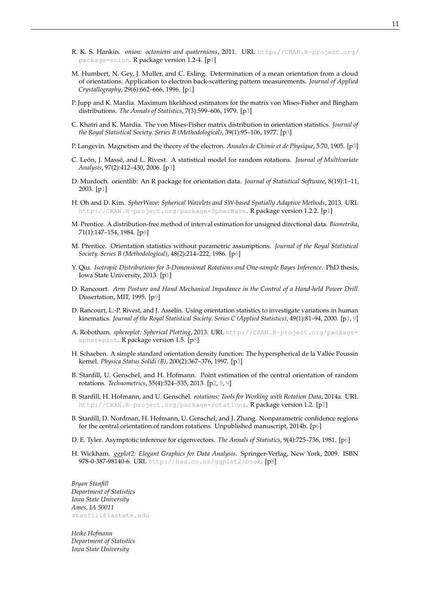- <span id="page-10-3"></span>R. K. S. Hankin. *onion: octonions and quaternions*, 2011. URL [http://CRAN.R-project.org/](http://CRAN.R-project.org/package=onion) [package=onion](http://CRAN.R-project.org/package=onion). R package version 1.2-4. [[p1\]](#page-0-1)
- <span id="page-10-0"></span>M. Humbert, N. Gey, J. Muller, and C. Esling. Determination of a mean orientation from a cloud of orientations. Application to electron back-scattering pattern measurements. *Journal of Applied Crystallography*, 29(6):662–666, 1996. [[p1\]](#page-0-1)
- <span id="page-10-10"></span>P. Jupp and K. Mardia. Maximum likelihood estimators for the matrix von Mises-Fisher and Bingham distributions. *The Annals of Statistics*, 7(3):599–606, 1979. [[p3\]](#page-2-2)
- <span id="page-10-9"></span>C. Khatri and K. Mardia. The von Mises-Fisher matrix distribution in orientation statistics. *Journal of the Royal Statistical Society. Series B (Methodological)*, 39(1):95–106, 1977. [[p3\]](#page-2-2)
- <span id="page-10-8"></span>P. Langevin. Magnetism and the theory of the electron. *Annales de Chimie et de Physique*, 5:70, 1905. [[p3\]](#page-2-2)
- <span id="page-10-12"></span>C. León, J. Massé, and L. Rivest. A statistical model for random rotations. *Journal of Multivariate Analysis*, 97(2):412–430, 2006. [[p3\]](#page-2-2)
- <span id="page-10-2"></span>D. Murdoch. orientlib: An R package for orientation data. *Journal of Statistical Software*, 8(19):1–11, 2003. [[p1\]](#page-0-1)
- <span id="page-10-5"></span>H. Oh and D. Kim. *SpherWave: Spherical Wavelets and SW-based Spatially Adaptive Methods*, 2013. URL <http://CRAN.R-project.org/package=SpherWave>. R package version 1.2.2. [[p1\]](#page-0-1)
- <span id="page-10-13"></span>M. Prentice. A distribution-free method of interval estimation for unsigned directional data. *Biometrika*, 71(1):147–154, 1984. [[p6\]](#page-5-1)
- <span id="page-10-15"></span>M. Prentice. Orientation statistics without parametric assumptions. *Journal of the Royal Statistical Society. Series B (Methodological)*, 48(2):214–222, 1986. [[p6\]](#page-5-1)
- <span id="page-10-4"></span>Y. Qiu. *Isotropic Distributions for 3-Dimensional Rotations and One-sample Bayes Inference*. PhD thesis, Iowa State University, 2013. [[p1\]](#page-0-1)
- <span id="page-10-19"></span>D. Rancourt. *Arm Posture and Hand Mechanical Impedance in the Control of a Hand-held Power Drill*. Dissertation, MIT, 1995. [[p9\]](#page-8-0)
- <span id="page-10-1"></span>D. Rancourt, L.-P. Rivest, and J. Asselin. Using orientation statistics to investigate variations in human kinematics. *Journal of the Royal Statistical Society. Series C (Applied Statistics)*, 49(1):81–94, 2000. [[p1,](#page-0-1) [9\]](#page-8-0)
- <span id="page-10-18"></span>A. Robotham. *sphereplot: Spherical Plotting*, 2013. URL [http://CRAN.R-project.org/package=](http://CRAN.R-project.org/package=sphereplot) [sphereplot](http://CRAN.R-project.org/package=sphereplot). R package version 1.5. [[p8\]](#page-7-1)
- <span id="page-10-11"></span>H. Schaeben. A simple standard orientation density function: The hyperspherical de la Vallée Poussin kernel. *Physica Status Solidi (B)*, 200(2):367–376, 1997. [[p3\]](#page-2-2)
- <span id="page-10-7"></span>B. Stanfill, U. Genschel, and H. Hofmann. Point estimation of the central orientation of random rotations. *Technometrics*, 55(4):524–535, 2013. [[p2,](#page-1-3) [5,](#page-4-0) [9\]](#page-8-0)
- <span id="page-10-6"></span>B. Stanfill, H. Hofmann, and U. Genschel. *rotations: Tools for Working with Rotation Data*, 2014a. URL <http://CRAN.R-project.org/package=rotations>. R package version 1.2. [[p1\]](#page-0-1)
- <span id="page-10-16"></span>B. Stanfill, D. Nordman, H. Hofmann, U. Genschel, and J. Zhang. Nonparametric confidence regions for the central orientation of random rotations. Unpublished manuscript, 2014b. [[p6\]](#page-5-1)
- <span id="page-10-14"></span>D. E. Tyler. Asymptotic inference for eigenvectors. *The Annals of Statistics*, 9(4):725–736, 1981. [[p6\]](#page-5-1)
- <span id="page-10-17"></span>H. Wickham. *ggplot2: Elegant Graphics for Data Analysis*. Springer-Verlag, New York, 2009. ISBN 978-0-387-98140-6. URL <http://had.co.nz/ggplot2/book>. [[p8\]](#page-7-1)

*Bryan Stanfill Department of Statistics Iowa State University Ames, IA 50011* [stanfill@iastate.edu](mailto:stanfill@iastate.edu)

*Heike Hofmann Department of Statistics Iowa State University*